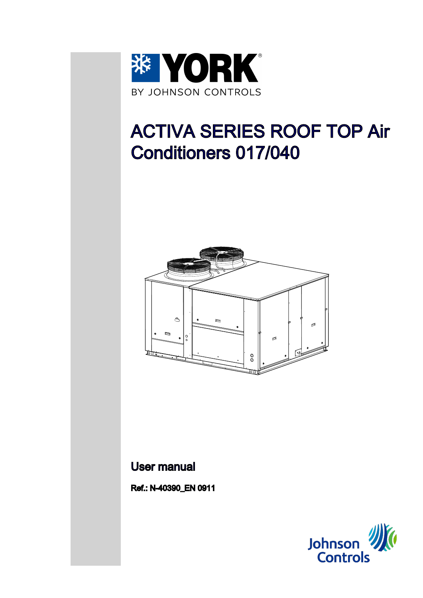

# ACTIVA SERIES ROOF TOP Air Conditioners 017/040



## User manual

Ref.: N-40390\_EN 0911

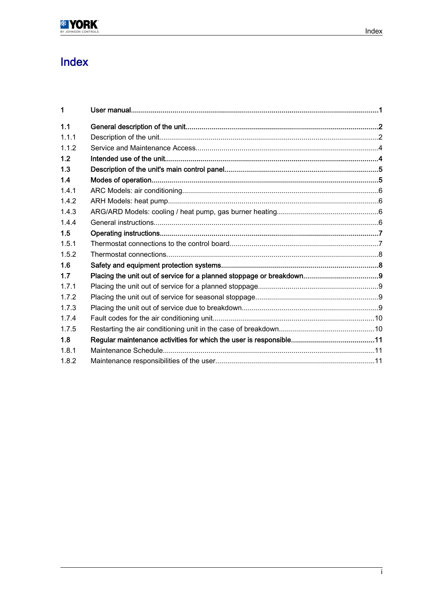# Index

| 1     |  |
|-------|--|
| 1.1   |  |
| 1.1.1 |  |
| 1.1.2 |  |
| 1.2   |  |
| 1.3   |  |
| 1.4   |  |
| 1.4.1 |  |
| 1.4.2 |  |
| 1.4.3 |  |
| 1.4.4 |  |
| 1.5   |  |
| 1.5.1 |  |
| 1.5.2 |  |
| 1.6   |  |
| 1.7   |  |
| 1.7.1 |  |
| 1.7.2 |  |
| 1.7.3 |  |
| 1.7.4 |  |
| 1.7.5 |  |
| 1.8   |  |
| 1.8.1 |  |
| 1.8.2 |  |
|       |  |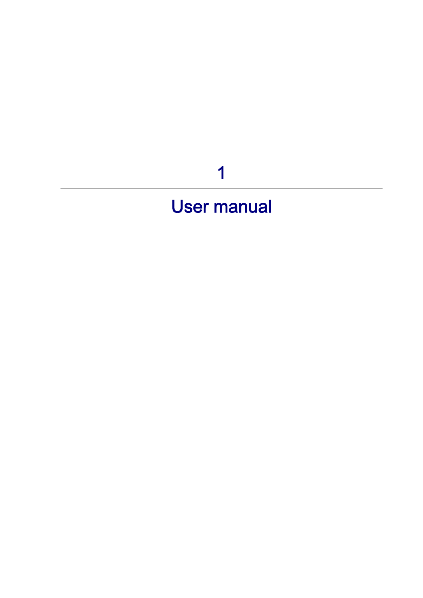# 1

# <span id="page-2-0"></span>User manual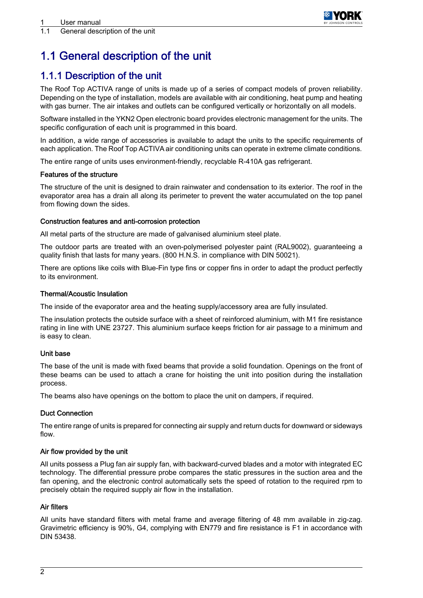

# <span id="page-3-0"></span>1.1 General description of the unit

### 1.1.1 Description of the unit

The Roof Top ACTIVA range of units is made up of a series of compact models of proven reliability. Depending on the type of installation, models are available with air conditioning, heat pump and heating with gas burner. The air intakes and outlets can be configured vertically or horizontally on all models.

Software installed in the YKN2 Open electronic board provides electronic management for the units. The specific configuration of each unit is programmed in this board.

In addition, a wide range of accessories is available to adapt the units to the specific requirements of each application. The Roof Top ACTIVA air conditioning units can operate in extreme climate conditions.

The entire range of units uses environment-friendly, recyclable R-410A gas refrigerant.

#### Features of the structure

The structure of the unit is designed to drain rainwater and condensation to its exterior. The roof in the evaporator area has a drain all along its perimeter to prevent the water accumulated on the top panel from flowing down the sides.

### Construction features and anti-corrosion protection

All metal parts of the structure are made of galvanised aluminium steel plate.

The outdoor parts are treated with an oven-polymerised polyester paint (RAL9002), guaranteeing a quality finish that lasts for many years. (800 H.N.S. in compliance with DIN 50021).

There are options like coils with Blue-Fin type fins or copper fins in order to adapt the product perfectly to its environment.

### Thermal/Acoustic Insulation

The inside of the evaporator area and the heating supply/accessory area are fully insulated.

The insulation protects the outside surface with a sheet of reinforced aluminium, with M1 fire resistance rating in line with UNE 23727. This aluminium surface keeps friction for air passage to a minimum and is easy to clean.

### Unit base

The base of the unit is made with fixed beams that provide a solid foundation. Openings on the front of these beams can be used to attach a crane for hoisting the unit into position during the installation process.

The beams also have openings on the bottom to place the unit on dampers, if required.

#### Duct Connection

The entire range of units is prepared for connecting air supply and return ducts for downward or sideways flow.

#### Air flow provided by the unit

All units possess a Plug fan air supply fan, with backward-curved blades and a motor with integrated EC technology. The differential pressure probe compares the static pressures in the suction area and the fan opening, and the electronic control automatically sets the speed of rotation to the required rpm to precisely obtain the required supply air flow in the installation.

#### Air filters

All units have standard filters with metal frame and average filtering of 48 mm available in zig-zag. Gravimetric efficiency is 90%, G4, complying with EN779 and fire resistance is F1 in accordance with DIN 53438.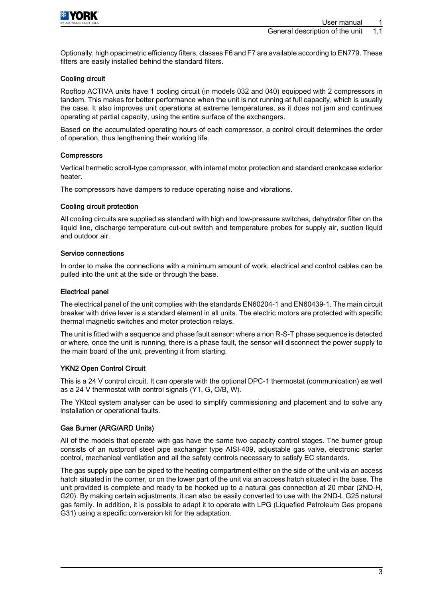

Optionally, high opacimetric efficiency filters, classes F6 and F7 are available according to EN779. These filters are easily installed behind the standard filters.

#### Cooling circuit

Rooftop ACTIVA units have 1 cooling circuit (in models 032 and 040) equipped with 2 compressors in tandem. This makes for better performance when the unit is not running at full capacity, which is usually the case. It also improves unit operations at extreme temperatures, as it does not jam and continues operating at partial capacity, using the entire surface of the exchangers.

Based on the accumulated operating hours of each compressor, a control circuit determines the order of operation, thus lengthening their working life.

#### **Compressors**

Vertical hermetic scroll-type compressor, with internal motor protection and standard crankcase exterior heater.

The compressors have dampers to reduce operating noise and vibrations.

#### Cooling circuit protection

All cooling circuits are supplied as standard with high and low-pressure switches, dehydrator filter on the liquid line, discharge temperature cut-out switch and temperature probes for supply air, suction liquid and outdoor air.

#### Service connections

In order to make the connections with a minimum amount of work, electrical and control cables can be pulled into the unit at the side or through the base.

#### Electrical panel

The electrical panel of the unit complies with the standards EN60204-1 and EN60439-1. The main circuit breaker with drive lever is a standard element in all units. The electric motors are protected with specific thermal magnetic switches and motor protection relays.

The unit is fitted with a sequence and phase fault sensor: where a non R-S-T phase sequence is detected or where, once the unit is running, there is a phase fault, the sensor will disconnect the power supply to the main board of the unit, preventing it from starting.

#### YKN2 Open Control Circuit

This is a 24 V control circuit. It can operate with the optional DPC-1 thermostat (communication) as well as a 24 V thermostat with control signals (Y1, G, O/B, W).

The YKtool system analyser can be used to simplify commissioning and placement and to solve any installation or operational faults.

#### Gas Burner (ARG/ARD Units)

All of the models that operate with gas have the same two capacity control stages. The burner group consists of an rustproof steel pipe exchanger type AISI-409, adjustable gas valve, electronic starter control, mechanical ventilation and all the safety controls necessary to satisfy EC standards.

The gas supply pipe can be piped to the heating compartment either on the side of the unit via an access hatch situated in the corner, or on the lower part of the unit via an access hatch situated in the base. The unit provided is complete and ready to be hooked up to a natural gas connection at 20 mbar (2ND-H, G20). By making certain adjustments, it can also be easily converted to use with the 2ND-L G25 natural gas family. In addition, it is possible to adapt it to operate with LPG (Liquefied Petroleum Gas propane G31) using a specific conversion kit for the adaptation.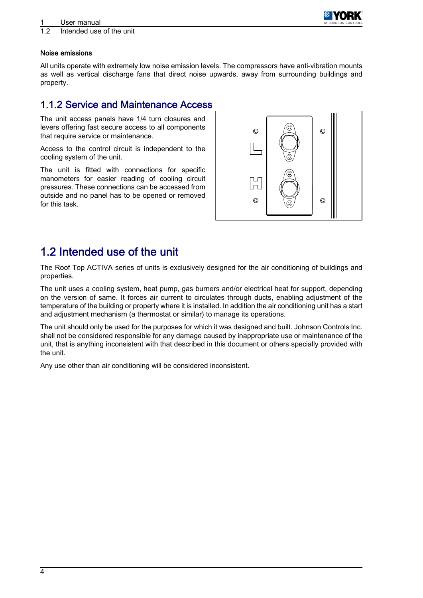

### <span id="page-5-0"></span>1.2 Intended use of the unit

#### Noise emissions

All units operate with extremely low noise emission levels. The compressors have anti-vibration mounts as well as vertical discharge fans that direct noise upwards, away from surrounding buildings and property.

### 1.1.2 Service and Maintenance Access

The unit access panels have 1/4 turn closures and levers offering fast secure access to all components that require service or maintenance.

Access to the control circuit is independent to the cooling system of the unit.

The unit is fitted with connections for specific manometers for easier reading of cooling circuit pressures. These connections can be accessed from outside and no panel has to be opened or removed for this task.



## 1.2 Intended use of the unit

The Roof Top ACTIVA series of units is exclusively designed for the air conditioning of buildings and properties.

The unit uses a cooling system, heat pump, gas burners and/or electrical heat for support, depending on the version of same. It forces air current to circulates through ducts, enabling adjustment of the temperature of the building or property where it is installed. In addition the air conditioning unit has a start and adjustment mechanism (a thermostat or similar) to manage its operations.

The unit should only be used for the purposes for which it was designed and built. Johnson Controls Inc. shall not be considered responsible for any damage caused by inappropriate use or maintenance of the unit, that is anything inconsistent with that described in this document or others specially provided with the unit.

Any use other than air conditioning will be considered inconsistent.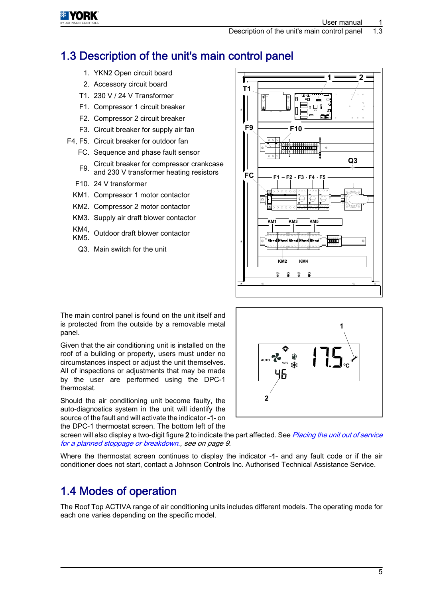# <span id="page-6-0"></span>1.3 Description of the unit's main control panel

- 1. YKN2 Open circuit board
- 2. Accessory circuit board
- T1. 230 V / 24 V Transformer
- F1. Compressor 1 circuit breaker
- F2. Compressor 2 circuit breaker
- F3. Circuit breaker for supply air fan
- F4, F5. Circuit breaker for outdoor fan
	- FC. Sequence and phase fault sensor
	- F9 Circuit breaker for compressor crankcase and 230 V transformer heating resistors
	- F10. 24 V transformer
	- KM1. Compressor 1 motor contactor
	- KM2. Compressor 2 motor contactor
	- KM3. Supply air draft blower contactor
	- KM4, KM4, Outdoor draft blower contactor
		- Q3. Main switch for the unit



The main control panel is found on the unit itself and is protected from the outside by a removable metal panel.

Given that the air conditioning unit is installed on the roof of a building or property, users must under no circumstances inspect or adjust the unit themselves. All of inspections or adjustments that may be made by the user are performed using the DPC-1 thermostat.

Should the air conditioning unit become faulty, the auto-diagnostics system in the unit will identify the source of the fault and will activate the indicator -1- on the DPC-1 thermostat screen. The bottom left of the



screen will also display a two-digit figure 2 to indicate the part affected. See [Placing the unit out of service](#page-10-0) [for a planned stoppage or breakdown.](#page-10-0), see on page 9.

Where the thermostat screen continues to display the indicator -1- and any fault code or if the air conditioner does not start, contact a Johnson Controls Inc. Authorised Technical Assistance Service.

# 1.4 Modes of operation

The Roof Top ACTIVA range of air conditioning units includes different models. The operating mode for each one varies depending on the specific model.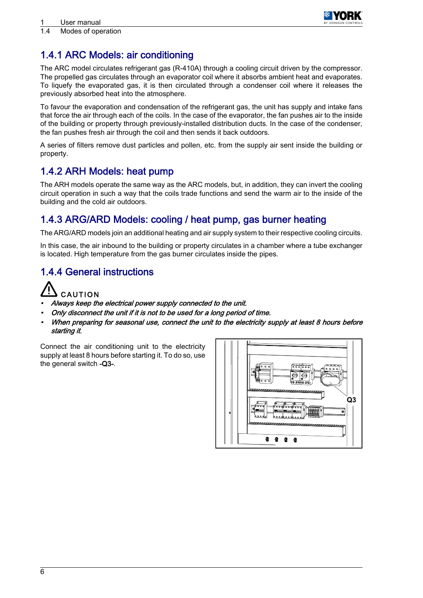

### <span id="page-7-0"></span>1.4.1 ARC Models: air conditioning

The ARC model circulates refrigerant gas (R-410A) through a cooling circuit driven by the compressor. The propelled gas circulates through an evaporator coil where it absorbs ambient heat and evaporates. To liquefy the evaporated gas, it is then circulated through a condenser coil where it releases the previously absorbed heat into the atmosphere.

To favour the evaporation and condensation of the refrigerant gas, the unit has supply and intake fans that force the air through each of the coils. In the case of the evaporator, the fan pushes air to the inside of the building or property through previously-installed distribution ducts. In the case of the condenser, the fan pushes fresh air through the coil and then sends it back outdoors.

A series of filters remove dust particles and pollen, etc. from the supply air sent inside the building or property.

### 1.4.2 ARH Models: heat pump

The ARH models operate the same way as the ARC models, but, in addition, they can invert the cooling circuit operation in such a way that the coils trade functions and send the warm air to the inside of the building and the cold air outdoors.

### 1.4.3 ARG/ARD Models: cooling / heat pump, gas burner heating

The ARG/ARD models join an additional heating and air supply system to their respective cooling circuits.

In this case, the air inbound to the building or property circulates in a chamber where a tube exchanger is located. High temperature from the gas burner circulates inside the pipes.

### 1.4.4 General instructions



- •Always keep the electrical power supply connected to the unit.
- •Only disconnect the unit if it is not to be used for a long period of time.
- •When preparing for seasonal use, connect the unit to the electricity supply at least 8 hours before starting it.

Connect the air conditioning unit to the electricity supply at least 8 hours before starting it. To do so, use the general switch -Q3-.

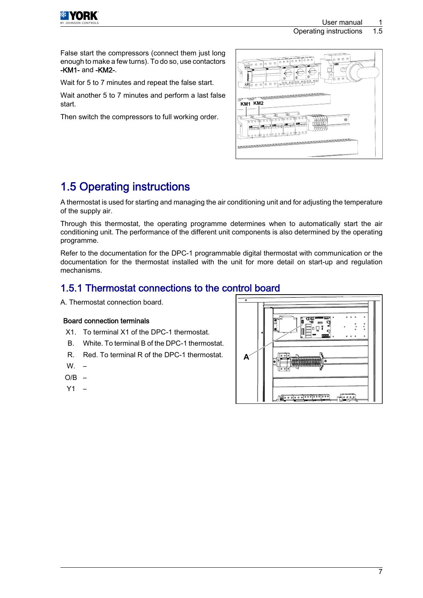

Operating instructions 1.5

<span id="page-8-0"></span>False start the compressors (connect them just long enough to make a few turns). To do so, use contactors -KM1- and -KM2-.

Wait for 5 to 7 minutes and repeat the false start.

Wait another 5 to 7 minutes and perform a last false start.

Then switch the compressors to full working order.



# 1.5 Operating instructions

A thermostat is used for starting and managing the air conditioning unit and for adjusting the temperature of the supply air.

Through this thermostat, the operating programme determines when to automatically start the air conditioning unit. The performance of the different unit components is also determined by the operating programme.

Refer to the documentation for the DPC-1 programmable digital thermostat with communication or the documentation for the thermostat installed with the unit for more detail on start-up and regulation mechanisms.

### 1.5.1 Thermostat connections to the control board

A. Thermostat connection board.

### Board connection terminals

- X1. To terminal X1 of the DPC-1 thermostat.
- B. White. To terminal B of the DPC-1 thermostat.
- R. Red. To terminal R of the DPC-1 thermostat.
- $W<sub>z</sub>$
- $O/B$  –
- Y1 –

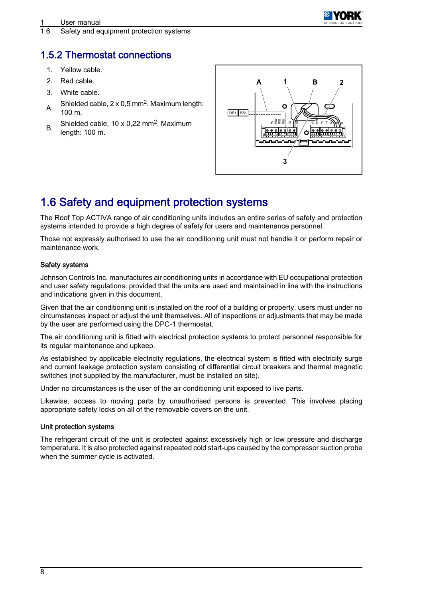

<span id="page-9-0"></span>1.6 Safety and equipment protection systems

### 1.5.2 Thermostat connections

- 1. Yellow cable.
- 2. Red cable.
- 3. White cable.
- A. Shielded cable,  $2 \times 0.5$  mm<sup>2</sup>. Maximum length: 100 m.
- B. Shielded cable,  $10 \times 0,22 \text{ mm}^2$ . Maximum length: 100 m.



# 1.6 Safety and equipment protection systems

The Roof Top ACTIVA range of air conditioning units includes an entire series of safety and protection systems intended to provide a high degree of safety for users and maintenance personnel.

Those not expressly authorised to use the air conditioning unit must not handle it or perform repair or maintenance work.

#### Safety systems

Johnson Controls Inc. manufactures air conditioning units in accordance with EU occupational protection and user safety regulations, provided that the units are used and maintained in line with the instructions and indications given in this document.

Given that the air conditioning unit is installed on the roof of a building or property, users must under no circumstances inspect or adjust the unit themselves. All of inspections or adjustments that may be made by the user are performed using the DPC-1 thermostat.

The air conditioning unit is fitted with electrical protection systems to protect personnel responsible for its regular maintenance and upkeep.

As established by applicable electricity regulations, the electrical system is fitted with electricity surge and current leakage protection system consisting of differential circuit breakers and thermal magnetic switches (not supplied by the manufacturer, must be installed on site).

Under no circumstances is the user of the air conditioning unit exposed to live parts.

Likewise, access to moving parts by unauthorised persons is prevented. This involves placing appropriate safety locks on all of the removable covers on the unit.

#### Unit protection systems

The refrigerant circuit of the unit is protected against excessively high or low pressure and discharge temperature. It is also protected against repeated cold start-ups caused by the compressor suction probe when the summer cycle is activated.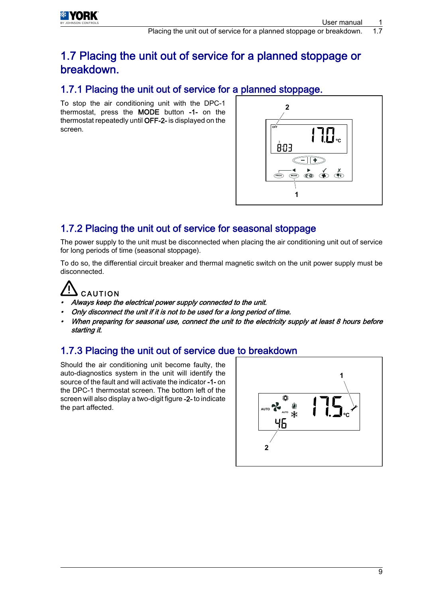## <span id="page-10-0"></span>1.7 Placing the unit out of service for a planned stoppage or breakdown.

### 1.7.1 Placing the unit out of service for a planned stoppage.

To stop the air conditioning unit with the DPC-1 thermostat, press the MODE button -1- on the thermostat repeatedly until OFF-2- is displayed on the screen.



### 1.7.2 Placing the unit out of service for seasonal stoppage

The power supply to the unit must be disconnected when placing the air conditioning unit out of service for long periods of time (seasonal stoppage).

To do so, the differential circuit breaker and thermal magnetic switch on the unit power supply must be disconnected.

# CAUTION

- Always keep the electrical power supply connected to the unit.
- Only disconnect the unit if it is not to be used for a long period of time.
- When preparing for seasonal use, connect the unit to the electricity supply at least 8 hours before starting it.

### 1.7.3 Placing the unit out of service due to breakdown

Should the air conditioning unit become faulty, the auto-diagnostics system in the unit will identify the source of the fault and will activate the indicator -1- on the DPC-1 thermostat screen. The bottom left of the screen will also display a two-digit figure -2- to indicate the part affected.

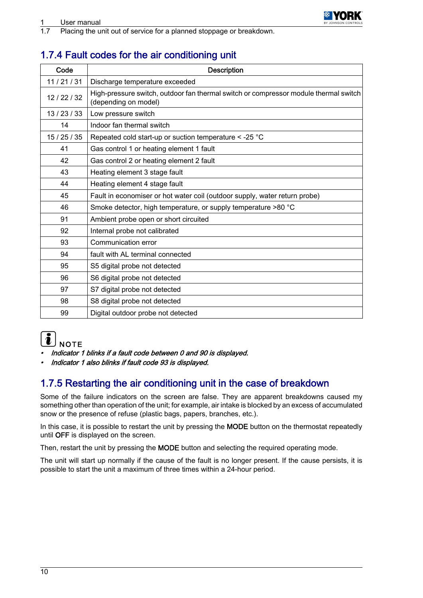<span id="page-11-0"></span>1.7 Placing the unit out of service for a planned stoppage or breakdown.

## 1.7.4 Fault codes for the air conditioning unit

| Code         | Description                                                                                                  |
|--------------|--------------------------------------------------------------------------------------------------------------|
| 11/21/31     | Discharge temperature exceeded                                                                               |
| 12 / 22 / 32 | High-pressure switch, outdoor fan thermal switch or compressor module thermal switch<br>(depending on model) |
| 13/23/33     | Low pressure switch                                                                                          |
| 14           | Indoor fan thermal switch                                                                                    |
| 15/25/35     | Repeated cold start-up or suction temperature $\le$ -25 °C                                                   |
| 41           | Gas control 1 or heating element 1 fault                                                                     |
| 42           | Gas control 2 or heating element 2 fault                                                                     |
| 43           | Heating element 3 stage fault                                                                                |
| 44           | Heating element 4 stage fault                                                                                |
| 45           | Fault in economiser or hot water coil (outdoor supply, water return probe)                                   |
| 46           | Smoke detector, high temperature, or supply temperature >80 °C                                               |
| 91           | Ambient probe open or short circuited                                                                        |
| 92           | Internal probe not calibrated                                                                                |
| 93           | Communication error                                                                                          |
| 94           | fault with AL terminal connected                                                                             |
| 95           | S5 digital probe not detected                                                                                |
| 96           | S6 digital probe not detected                                                                                |
| 97           | S7 digital probe not detected                                                                                |
| 98           | S8 digital probe not detected                                                                                |
| 99           | Digital outdoor probe not detected                                                                           |



- •Indicator 1 blinks if a fault code between 0 and 90 is displayed.
- •Indicator 1 also blinks if fault code 93 is displayed.

### 1.7.5 Restarting the air conditioning unit in the case of breakdown

Some of the failure indicators on the screen are false. They are apparent breakdowns caused my something other than operation of the unit; for example, air intake is blocked by an excess of accumulated snow or the presence of refuse (plastic bags, papers, branches, etc.).

In this case, it is possible to restart the unit by pressing the MODE button on the thermostat repeatedly until OFF is displayed on the screen.

Then, restart the unit by pressing the MODE button and selecting the required operating mode.

The unit will start up normally if the cause of the fault is no longer present. If the cause persists, it is possible to start the unit a maximum of three times within a 24-hour period.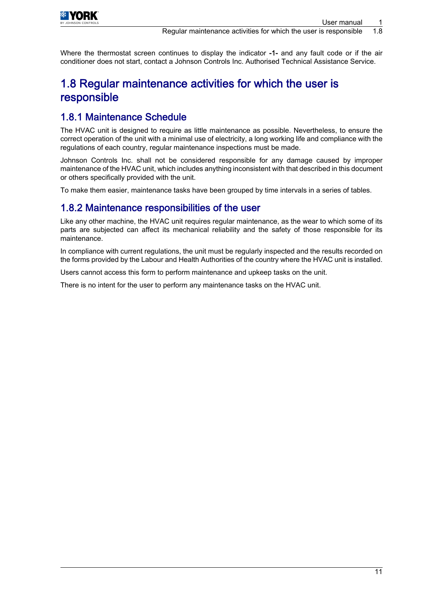<span id="page-12-0"></span>

Where the thermostat screen continues to display the indicator -1- and any fault code or if the air conditioner does not start, contact a Johnson Controls Inc. Authorised Technical Assistance Service.

## 1.8 Regular maintenance activities for which the user is responsible

### 1.8.1 Maintenance Schedule

The HVAC unit is designed to require as little maintenance as possible. Nevertheless, to ensure the correct operation of the unit with a minimal use of electricity, a long working life and compliance with the regulations of each country, regular maintenance inspections must be made.

Johnson Controls Inc. shall not be considered responsible for any damage caused by improper maintenance of the HVAC unit, which includes anything inconsistent with that described in this document or others specifically provided with the unit.

To make them easier, maintenance tasks have been grouped by time intervals in a series of tables.

### 1.8.2 Maintenance responsibilities of the user

Like any other machine, the HVAC unit requires regular maintenance, as the wear to which some of its parts are subjected can affect its mechanical reliability and the safety of those responsible for its maintenance.

In compliance with current regulations, the unit must be regularly inspected and the results recorded on the forms provided by the Labour and Health Authorities of the country where the HVAC unit is installed.

Users cannot access this form to perform maintenance and upkeep tasks on the unit.

There is no intent for the user to perform any maintenance tasks on the HVAC unit.